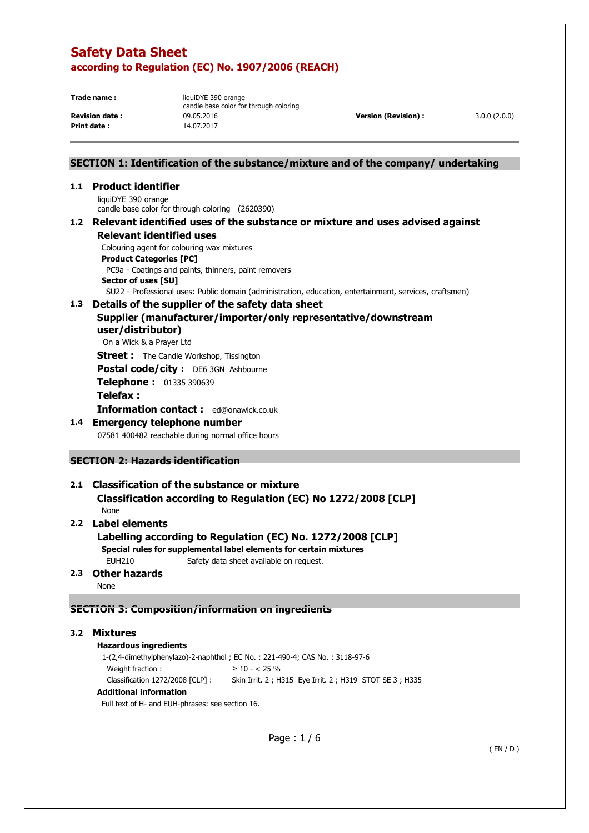**Print date :** 14.07.2017

**Trade name: liquiDYE 390 orange** candle base color for through coloring **Revision date :** 09.05.2016 **Version (Revision) :** 3.0.0 (2.0.0)

### **SECTION 1: Identification of the substance/mixture and of the company/ undertaking**

### **1.1 Product identifier**

liquiDYE 390 orange candle base color for through coloring (2620390)

#### **1.2 Relevant identified uses of the substance or mixture and uses advised against Relevant identified uses**

Colouring agent for colouring wax mixtures

**Product Categories [PC]** 

 PC9a - Coatings and paints, thinners, paint removers **Sector of uses [SU]** 

SU22 - Professional uses: Public domain (administration, education, entertainment, services, craftsmen)

### **1.3 Details of the supplier of the safety data sheet**

### **Supplier (manufacturer/importer/only representative/downstream user/distributor)**

On a Wick & a Prayer Ltd

**Street :** The Candle Workshop, Tissington

**Postal code/city :** DE6 3GN Ashbourne

**Telephone :** 01335 390639

### **Telefax :**

**Information contact :** ed@onawick.co.uk

### **1.4 Emergency telephone number**

07581 400482 reachable during normal office hours

### **SECTION 2: Hazards identification**

# **2.1 Classification of the substance or mixture**

 **Classification according to Regulation (EC) No 1272/2008 [CLP]**  None

### **2.2 Label elements**

 **Labelling according to Regulation (EC) No. 1272/2008 [CLP] Special rules for supplemental label elements for certain mixtures**  EUH210 Safety data sheet available on request.

### **2.3 Other hazards**

None

### **SECTION 3: Composition/information on ingredients**

### **3.2 Mixtures**

#### **Hazardous ingredients**

 1-(2,4-dimethylphenylazo)-2-naphthol ; EC No. : 221-490-4; CAS No. : 3118-97-6 Weight fraction :  $\geq 10 - 25\%$ Classification 1272/2008 [CLP] : Skin Irrit. 2 ; H315 Eye Irrit. 2 ; H319 STOT SE 3 ; H335

### **Additional information**

Full text of H- and EUH-phrases: see section 16.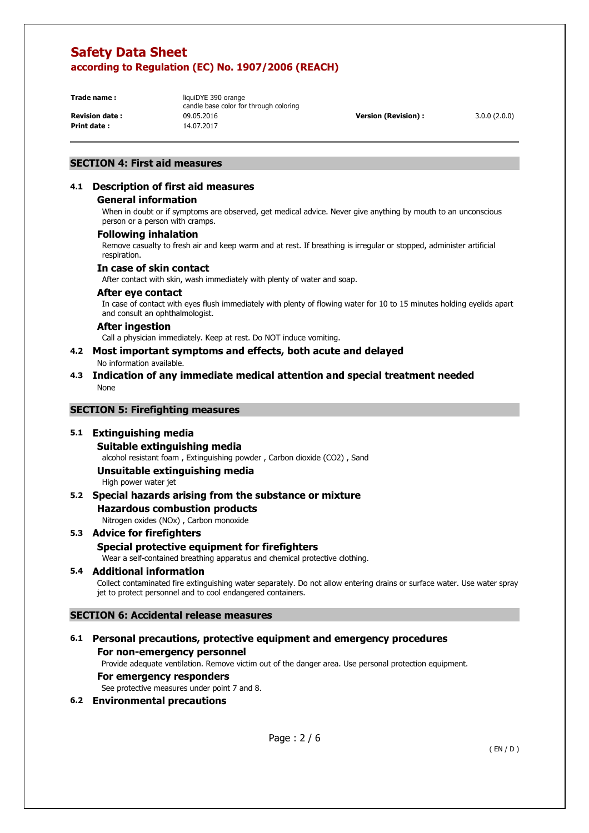**Print date :** 14.07.2017

**Trade name: liquiDYE 390 orange** candle base color for through coloring **Revision date :** 09.05.2016 **Version (Revision) :** 3.0.0 (2.0.0)

### **SECTION 4: First aid measures**

# **4.1 Description of first aid measures**

### **General information**

When in doubt or if symptoms are observed, get medical advice. Never give anything by mouth to an unconscious person or a person with cramps.

### **Following inhalation**

Remove casualty to fresh air and keep warm and at rest. If breathing is irregular or stopped, administer artificial respiration.

### **In case of skin contact**

After contact with skin, wash immediately with plenty of water and soap.

### **After eye contact**

In case of contact with eyes flush immediately with plenty of flowing water for 10 to 15 minutes holding eyelids apart and consult an ophthalmologist.

### **After ingestion**

Call a physician immediately. Keep at rest. Do NOT induce vomiting.

- **4.2 Most important symptoms and effects, both acute and delayed**  No information available.
- **4.3 Indication of any immediate medical attention and special treatment needed**  None

### **SECTION 5: Firefighting measures**

### **5.1 Extinguishing media**

### **Suitable extinguishing media**

alcohol resistant foam , Extinguishing powder , Carbon dioxide (CO2) , Sand

# **Unsuitable extinguishing media**

High power water jet

# **5.2 Special hazards arising from the substance or mixture**

**Hazardous combustion products** 

Nitrogen oxides (NOx) , Carbon monoxide

# **5.3 Advice for firefighters Special protective equipment for firefighters**  Wear a self-contained breathing apparatus and chemical protective clothing.

### **5.4 Additional information**

Collect contaminated fire extinguishing water separately. Do not allow entering drains or surface water. Use water spray jet to protect personnel and to cool endangered containers.

### **SECTION 6: Accidental release measures**

### **6.1 Personal precautions, protective equipment and emergency procedures For non-emergency personnel**

Provide adequate ventilation. Remove victim out of the danger area. Use personal protection equipment.

### **For emergency responders**

See protective measures under point 7 and 8.

### **6.2 Environmental precautions**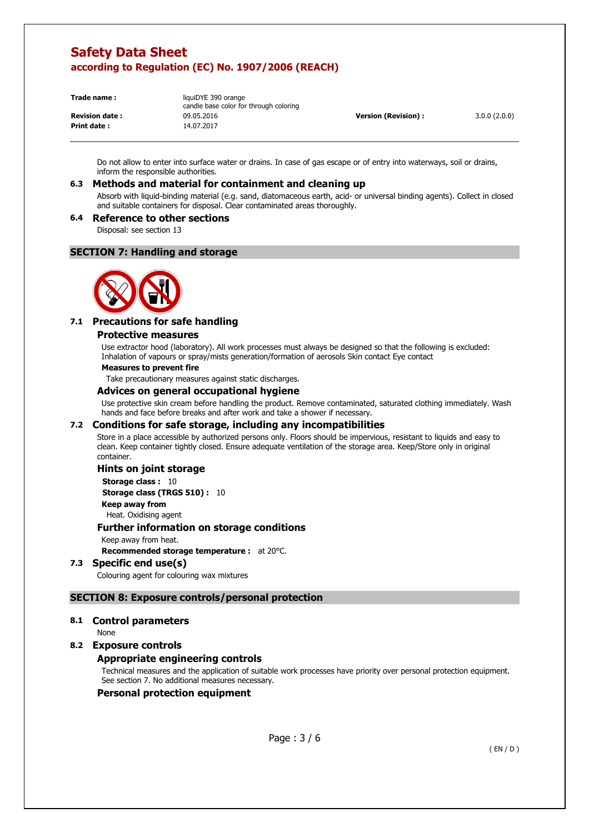**Print date :** 14.07.2017

**Trade name :** liquiDYE 390 orange candle base color for through coloring **Revision date :** 09.05.2016 **Version (Revision) :** 3.0.0 (2.0.0)

Do not allow to enter into surface water or drains. In case of gas escape or of entry into waterways, soil or drains, inform the responsible authorities.

### **6.3 Methods and material for containment and cleaning up**

Absorb with liquid-binding material (e.g. sand, diatomaceous earth, acid- or universal binding agents). Collect in closed and suitable containers for disposal. Clear contaminated areas thoroughly.

### **6.4 Reference to other sections**

Disposal: see section 13

### **SECTION 7: Handling and storage**



### **7.1 Precautions for safe handling**

#### **Protective measures**

Use extractor hood (laboratory). All work processes must always be designed so that the following is excluded: Inhalation of vapours or spray/mists generation/formation of aerosols Skin contact Eye contact

#### **Measures to prevent fire**

Take precautionary measures against static discharges.

#### **Advices on general occupational hygiene**

Use protective skin cream before handling the product. Remove contaminated, saturated clothing immediately. Wash hands and face before breaks and after work and take a shower if necessary.

### **7.2 Conditions for safe storage, including any incompatibilities**

Store in a place accessible by authorized persons only. Floors should be impervious, resistant to liquids and easy to clean. Keep container tightly closed. Ensure adequate ventilation of the storage area. Keep/Store only in original container.

### **Hints on joint storage**

**Storage class : 10 Storage class (TRGS 510) :** 10

**Keep away from** 

Heat. Oxidising agent

### **Further information on storage conditions**

Keep away from heat.

**Recommended storage temperature :** at 20°C.

### **7.3 Specific end use(s)**

Colouring agent for colouring wax mixtures

### **SECTION 8: Exposure controls/personal protection**

**8.1 Control parameters** 

None

### **8.2 Exposure controls**

### **Appropriate engineering controls**

Technical measures and the application of suitable work processes have priority over personal protection equipment. See section 7. No additional measures necessary.

### **Personal protection equipment**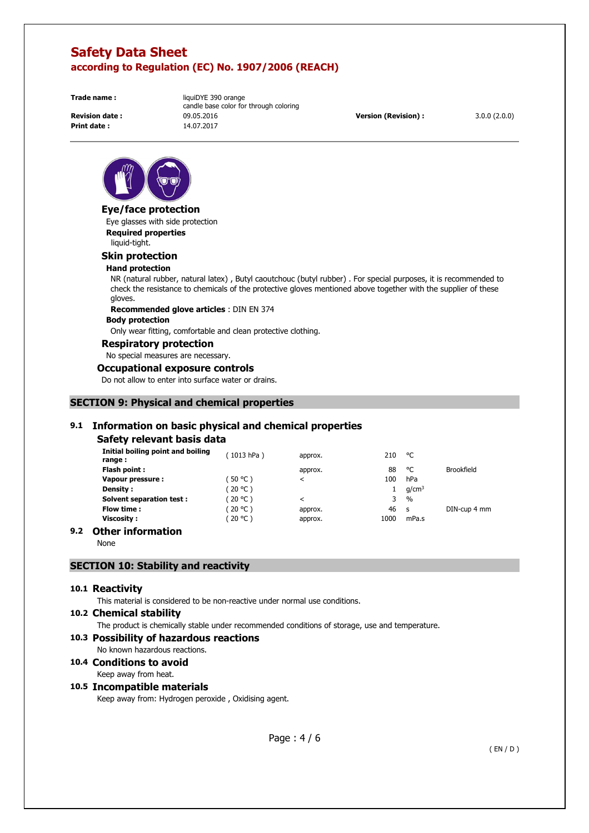**Print date :** 14.07.2017

**Trade name: liquiDYE 390 orange** candle base color for through coloring **Revision date :** 09.05.2016 **Version (Revision) :** 3.0.0 (2.0.0)



#### **Eye/face protection**

Eye glasses with side protection **Required properties**  liquid-tight.

#### **Skin protection**

#### **Hand protection**

NR (natural rubber, natural latex) , Butyl caoutchouc (butyl rubber) . For special purposes, it is recommended to check the resistance to chemicals of the protective gloves mentioned above together with the supplier of these gloves.

**Recommended glove articles** : DIN EN 374

#### **Body protection**

Only wear fitting, comfortable and clean protective clothing.

#### **Respiratory protection**

No special measures are necessary.

#### **Occupational exposure controls**

Do not allow to enter into surface water or drains.

### **SECTION 9: Physical and chemical properties**

### **9.1 Information on basic physical and chemical properties**

#### **Safety relevant basis data**

| Initial boiling point and boiling<br>range : | (1013 hPa) | approx. | 210  | °C                |              |
|----------------------------------------------|------------|---------|------|-------------------|--------------|
| Flash point:                                 |            | approx. | 88   | °C                | Brookfield   |
| Vapour pressure :                            | 50 °C)     | ≺       | 100  | hPa               |              |
| Density:                                     | (20 °C)    |         |      | g/cm <sup>3</sup> |              |
| <b>Solvent separation test:</b>              | ິ 20 °C )  | ≺       | 3    | $\%$              |              |
| Flow time :                                  | (20 °C)    | approx. | 46   | -S                | DIN-cup 4 mm |
| <b>Viscosity :</b>                           | ′ 20 °C )  | approx. | 1000 | mPa.s             |              |

### **9.2 Other information**

None

### **SECTION 10: Stability and reactivity**

#### **10.1 Reactivity**

This material is considered to be non-reactive under normal use conditions.

#### **10.2 Chemical stability**

The product is chemically stable under recommended conditions of storage, use and temperature.

#### **10.3 Possibility of hazardous reactions**

No known hazardous reactions.

# **10.4 Conditions to avoid**

Keep away from heat.

### **10.5 Incompatible materials**

Keep away from: Hydrogen peroxide , Oxidising agent.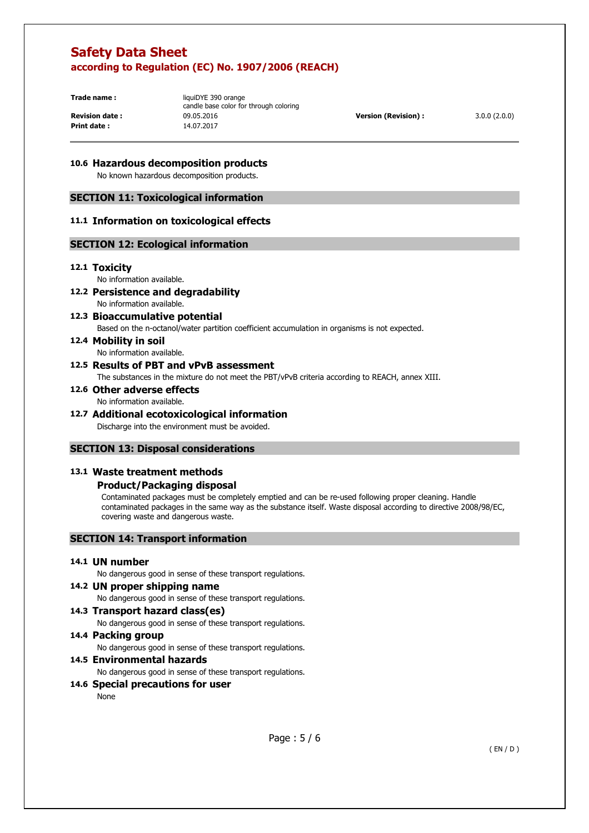**Print date :** 14.07.2017

**Trade name: liquiDYE 390 orange** candle base color for through coloring **Revision date :** 09.05.2016 **Version (Revision) :** 3.0.0 (2.0.0)

### **10.6 Hazardous decomposition products**

No known hazardous decomposition products.

### **SECTION 11: Toxicological information**

### **11.1 Information on toxicological effects**

### **SECTION 12: Ecological information**

### **12.1 Toxicity**

No information available.

- **12.2 Persistence and degradability**  No information available.
- **12.3 Bioaccumulative potential**

Based on the n-octanol/water partition coefficient accumulation in organisms is not expected.

**12.4 Mobility in soil**  No information available.

### **12.5 Results of PBT and vPvB assessment**

The substances in the mixture do not meet the PBT/vPvB criteria according to REACH, annex XIII.

**12.6 Other adverse effects** 

No information available.

### **12.7 Additional ecotoxicological information**

Discharge into the environment must be avoided.

### **SECTION 13: Disposal considerations**

### **13.1 Waste treatment methods**

### **Product/Packaging disposal**

Contaminated packages must be completely emptied and can be re-used following proper cleaning. Handle contaminated packages in the same way as the substance itself. Waste disposal according to directive 2008/98/EC, covering waste and dangerous waste.

### **SECTION 14: Transport information**

### **14.1 UN number**

No dangerous good in sense of these transport regulations.

#### **14.2 UN proper shipping name**

No dangerous good in sense of these transport regulations.

### **14.3 Transport hazard class(es)**

No dangerous good in sense of these transport regulations.

### **14.4 Packing group**

No dangerous good in sense of these transport regulations.

#### **14.5 Environmental hazards**

No dangerous good in sense of these transport regulations.

### **14.6 Special precautions for user**

None